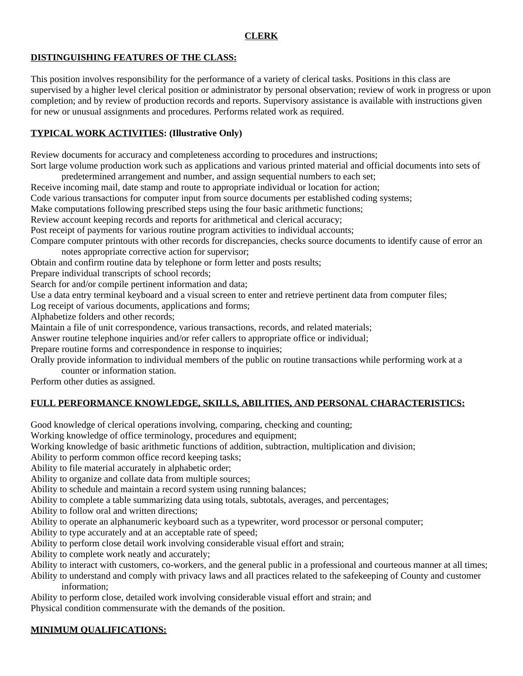### **CLERK**

### **DISTINGUISHING FEATURES OF THE CLASS:**

This position involves responsibility for the performance of a variety of clerical tasks. Positions in this class are supervised by a higher level clerical position or administrator by personal observation; review of work in progress or upon completion; and by review of production records and reports. Supervisory assistance is available with instructions given for new or unusual assignments and procedures. Performs related work as required.

### **TYPICAL WORK ACTIVITIES: (Illustrative Only)**

Review documents for accuracy and completeness according to procedures and instructions;

Sort large volume production work such as applications and various printed material and official documents into sets of predetermined arrangement and number, and assign sequential numbers to each set;

Receive incoming mail, date stamp and route to appropriate individual or location for action;

Code various transactions for computer input from source documents per established coding systems;

Make computations following prescribed steps using the four basic arithmetic functions;

Review account keeping records and reports for arithmetical and clerical accuracy;

Post receipt of payments for various routine program activities to individual accounts;

Compare computer printouts with other records for discrepancies, checks source documents to identify cause of error an notes appropriate corrective action for supervisor;

Obtain and confirm routine data by telephone or form letter and posts results;

Prepare individual transcripts of school records;

Search for and/or compile pertinent information and data;

Use a data entry terminal keyboard and a visual screen to enter and retrieve pertinent data from computer files;

Log receipt of various documents, applications and forms;

Alphabetize folders and other records;

Maintain a file of unit correspondence, various transactions, records, and related materials;

Answer routine telephone inquiries and/or refer callers to appropriate office or individual;

Prepare routine forms and correspondence in response to inquiries;

Orally provide information to individual members of the public on routine transactions while performing work at a counter or information station.

Perform other duties as assigned.

# **FULL PERFORMANCE KNOWLEDGE, SKILLS, ABILITIES, AND PERSONAL CHARACTERISTICS:**

Good knowledge of clerical operations involving, comparing, checking and counting;

Working knowledge of office terminology, procedures and equipment;

Working knowledge of basic arithmetic functions of addition, subtraction, multiplication and division;

Ability to perform common office record keeping tasks;

Ability to file material accurately in alphabetic order;

Ability to organize and collate data from multiple sources;

Ability to schedule and maintain a record system using running balances;

Ability to complete a table summarizing data using totals, subtotals, averages, and percentages;

Ability to follow oral and written directions;

Ability to operate an alphanumeric keyboard such as a typewriter, word processor or personal computer;

Ability to type accurately and at an acceptable rate of speed;

Ability to perform close detail work involving considerable visual effort and strain;

Ability to complete work neatly and accurately;

Ability to interact with customers, co-workers, and the general public in a professional and courteous manner at all times;

Ability to understand and comply with privacy laws and all practices related to the safekeeping of County and customer information;

Ability to perform close, detailed work involving considerable visual effort and strain; and

Physical condition commensurate with the demands of the position.

# **MINIMUM QUALIFICATIONS:**